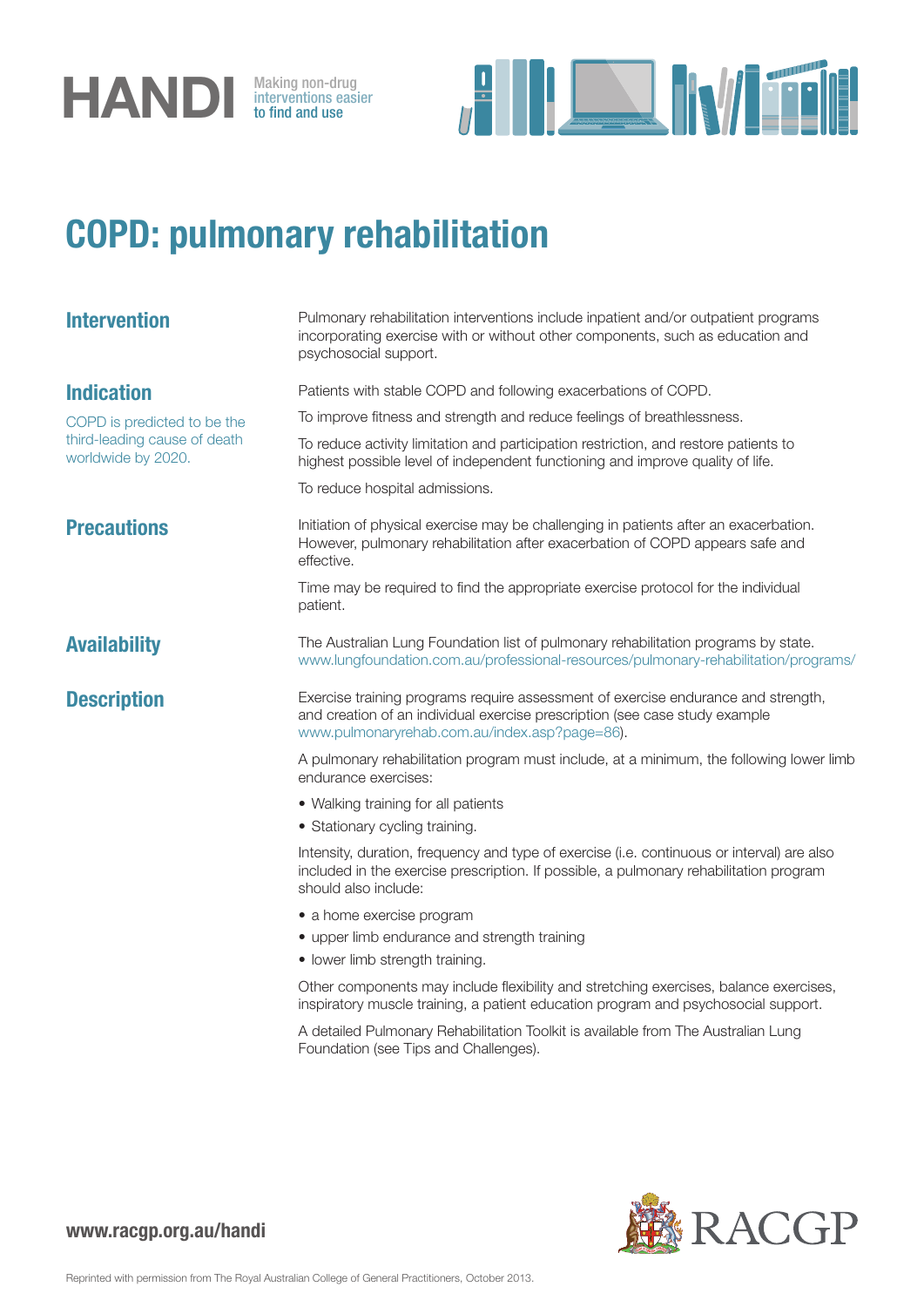

interventions easier to find and use



## COPD: pulmonary rehabilitation

| <b>Intervention</b>                                                               | Pulmonary rehabilitation interventions include inpatient and/or outpatient programs<br>incorporating exercise with or without other components, such as education and<br>psychosocial support.                    |
|-----------------------------------------------------------------------------------|-------------------------------------------------------------------------------------------------------------------------------------------------------------------------------------------------------------------|
| <b>Indication</b>                                                                 | Patients with stable COPD and following exacerbations of COPD.                                                                                                                                                    |
| COPD is predicted to be the<br>third-leading cause of death<br>worldwide by 2020. | To improve fitness and strength and reduce feelings of breathlessness.                                                                                                                                            |
|                                                                                   | To reduce activity limitation and participation restriction, and restore patients to<br>highest possible level of independent functioning and improve quality of life.                                            |
|                                                                                   | To reduce hospital admissions.                                                                                                                                                                                    |
| <b>Precautions</b>                                                                | Initiation of physical exercise may be challenging in patients after an exacerbation.<br>However, pulmonary rehabilitation after exacerbation of COPD appears safe and<br>effective.                              |
|                                                                                   | Time may be required to find the appropriate exercise protocol for the individual<br>patient.                                                                                                                     |
| <b>Availability</b>                                                               | The Australian Lung Foundation list of pulmonary rehabilitation programs by state.<br>www.lungfoundation.com.au/professional-resources/pulmonary-rehabilitation/programs/                                         |
| <b>Description</b>                                                                | Exercise training programs require assessment of exercise endurance and strength,<br>and creation of an individual exercise prescription (see case study example<br>www.pulmonaryrehab.com.au/index.asp?page=86). |
|                                                                                   | A pulmonary rehabilitation program must include, at a minimum, the following lower limb<br>endurance exercises:                                                                                                   |
|                                                                                   | • Walking training for all patients                                                                                                                                                                               |
|                                                                                   | • Stationary cycling training.                                                                                                                                                                                    |
|                                                                                   | Intensity, duration, frequency and type of exercise (i.e. continuous or interval) are also<br>included in the exercise prescription. If possible, a pulmonary rehabilitation program<br>should also include:      |
|                                                                                   | • a home exercise program                                                                                                                                                                                         |
|                                                                                   | • upper limb endurance and strength training                                                                                                                                                                      |
|                                                                                   | • lower limb strength training.                                                                                                                                                                                   |
|                                                                                   | Other components may include flexibility and stretching exercises, balance exercises,<br>inspiratory muscle training, a patient education program and psychosocial support.                                       |
|                                                                                   | A detailed Pulmonary Rehabilitation Toolkit is available from The Australian Lung<br>Foundation (see Tips and Challenges).                                                                                        |



www.racgp.org.au/handi